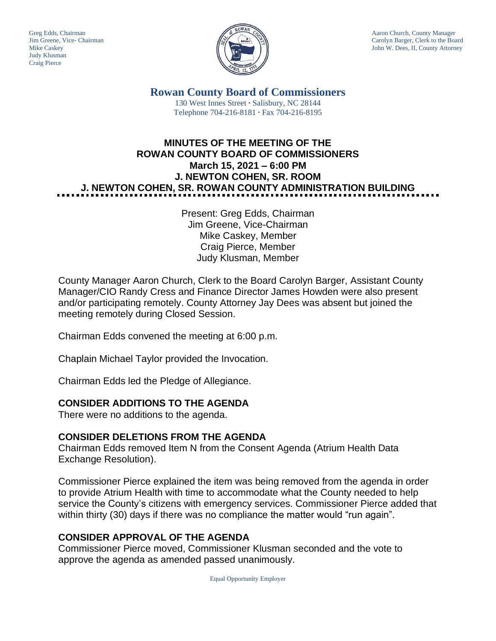Judy Klusman Craig Pierce



Greg Edds, Chairman Aaron Church, County Manager<br>Jim Greene, Vice- Chairman Aaron Church, County Manager and Aaron Church, County Manager and Aaron Church, County Manager Carolyn Barger, Clerk to the Board Mike Caskey **John W. Dees, II, County Attorney** 

> **Rowan County Board of Commissioners** 130 West Innes Street **∙** Salisbury, NC 28144 Telephone 704-216-8181 **∙** Fax 704-216-8195

# **MINUTES OF THE MEETING OF THE ROWAN COUNTY BOARD OF COMMISSIONERS March 15, 2021 – 6:00 PM J. NEWTON COHEN, SR. ROOM J. NEWTON COHEN, SR. ROWAN COUNTY ADMINISTRATION BUILDING**

Present: Greg Edds, Chairman Jim Greene, Vice-Chairman Mike Caskey, Member Craig Pierce, Member Judy Klusman, Member

County Manager Aaron Church, Clerk to the Board Carolyn Barger, Assistant County Manager/CIO Randy Cress and Finance Director James Howden were also present and/or participating remotely. County Attorney Jay Dees was absent but joined the meeting remotely during Closed Session.

Chairman Edds convened the meeting at 6:00 p.m.

Chaplain Michael Taylor provided the Invocation.

Chairman Edds led the Pledge of Allegiance.

### **CONSIDER ADDITIONS TO THE AGENDA**

There were no additions to the agenda.

### **CONSIDER DELETIONS FROM THE AGENDA**

Chairman Edds removed Item N from the Consent Agenda (Atrium Health Data Exchange Resolution).

Commissioner Pierce explained the item was being removed from the agenda in order to provide Atrium Health with time to accommodate what the County needed to help service the County's citizens with emergency services. Commissioner Pierce added that within thirty (30) days if there was no compliance the matter would "run again".

### **CONSIDER APPROVAL OF THE AGENDA**

Commissioner Pierce moved, Commissioner Klusman seconded and the vote to approve the agenda as amended passed unanimously.

Equal Opportunity Employer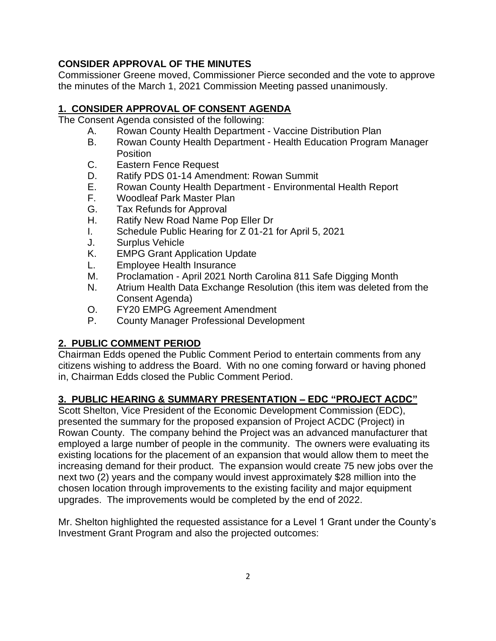# **CONSIDER APPROVAL OF THE MINUTES**

Commissioner Greene moved, Commissioner Pierce seconded and the vote to approve the minutes of the March 1, 2021 Commission Meeting passed unanimously.

# **1. CONSIDER APPROVAL OF CONSENT AGENDA**

The Consent Agenda consisted of the following:

- A. Rowan County Health Department Vaccine Distribution Plan
- B. Rowan County Health Department Health Education Program Manager Position
- C. Eastern Fence Request
- D. Ratify PDS 01-14 Amendment: Rowan Summit
- E. Rowan County Health Department Environmental Health Report
- F. Woodleaf Park Master Plan
- G. Tax Refunds for Approval
- H. Ratify New Road Name Pop Eller Dr
- I. Schedule Public Hearing for Z 01-21 for April 5, 2021
- J. Surplus Vehicle
- K. EMPG Grant Application Update
- L. Employee Health Insurance
- M. Proclamation April 2021 North Carolina 811 Safe Digging Month
- N. Atrium Health Data Exchange Resolution (this item was deleted from the Consent Agenda)
- O. FY20 EMPG Agreement Amendment
- P. County Manager Professional Development

# **2. PUBLIC COMMENT PERIOD**

Chairman Edds opened the Public Comment Period to entertain comments from any citizens wishing to address the Board. With no one coming forward or having phoned in, Chairman Edds closed the Public Comment Period.

### **3. PUBLIC HEARING & SUMMARY PRESENTATION – EDC "PROJECT ACDC"**

Scott Shelton, Vice President of the Economic Development Commission (EDC), presented the summary for the proposed expansion of Project ACDC (Project) in Rowan County. The company behind the Project was an advanced manufacturer that employed a large number of people in the community. The owners were evaluating its existing locations for the placement of an expansion that would allow them to meet the increasing demand for their product. The expansion would create 75 new jobs over the next two (2) years and the company would invest approximately \$28 million into the chosen location through improvements to the existing facility and major equipment upgrades. The improvements would be completed by the end of 2022.

Mr. Shelton highlighted the requested assistance for a Level 1 Grant under the County's Investment Grant Program and also the projected outcomes: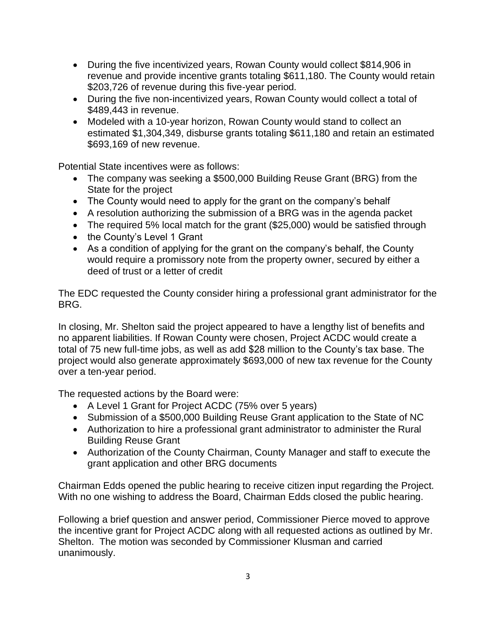- During the five incentivized years, Rowan County would collect \$814,906 in revenue and provide incentive grants totaling \$611,180. The County would retain \$203,726 of revenue during this five-year period.
- During the five non-incentivized years, Rowan County would collect a total of \$489,443 in revenue.
- Modeled with a 10-year horizon, Rowan County would stand to collect an estimated \$1,304,349, disburse grants totaling \$611,180 and retain an estimated \$693,169 of new revenue.

Potential State incentives were as follows:

- The company was seeking a \$500,000 Building Reuse Grant (BRG) from the State for the project
- The County would need to apply for the grant on the company's behalf
- A resolution authorizing the submission of a BRG was in the agenda packet
- The required 5% local match for the grant (\$25,000) would be satisfied through
- the County's Level 1 Grant
- As a condition of applying for the grant on the company's behalf, the County would require a promissory note from the property owner, secured by either a deed of trust or a letter of credit

The EDC requested the County consider hiring a professional grant administrator for the BRG.

In closing, Mr. Shelton said the project appeared to have a lengthy list of benefits and no apparent liabilities. If Rowan County were chosen, Project ACDC would create a total of 75 new full-time jobs, as well as add \$28 million to the County's tax base. The project would also generate approximately \$693,000 of new tax revenue for the County over a ten-year period.

The requested actions by the Board were:

- A Level 1 Grant for Project ACDC (75% over 5 years)
- Submission of a \$500,000 Building Reuse Grant application to the State of NC
- Authorization to hire a professional grant administrator to administer the Rural Building Reuse Grant
- Authorization of the County Chairman, County Manager and staff to execute the grant application and other BRG documents

Chairman Edds opened the public hearing to receive citizen input regarding the Project. With no one wishing to address the Board, Chairman Edds closed the public hearing.

Following a brief question and answer period, Commissioner Pierce moved to approve the incentive grant for Project ACDC along with all requested actions as outlined by Mr. Shelton. The motion was seconded by Commissioner Klusman and carried unanimously.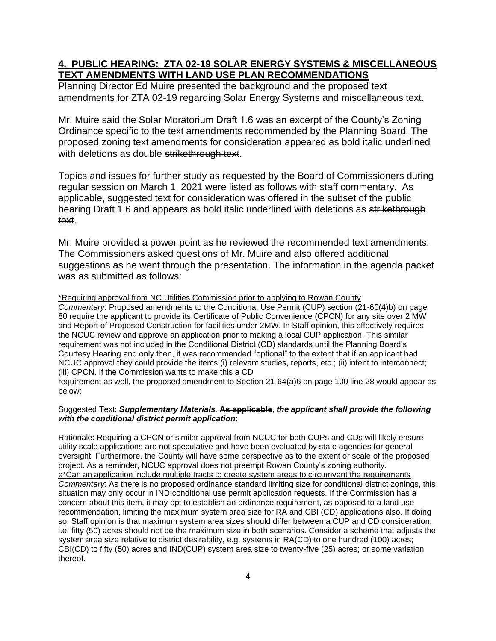### **4. PUBLIC HEARING: ZTA 02-19 SOLAR ENERGY SYSTEMS & MISCELLANEOUS TEXT AMENDMENTS WITH LAND USE PLAN RECOMMENDATIONS**

Planning Director Ed Muire presented the background and the proposed text amendments for ZTA 02-19 regarding Solar Energy Systems and miscellaneous text.

Mr. Muire said the Solar Moratorium Draft 1.6 was an excerpt of the County's Zoning Ordinance specific to the text amendments recommended by the Planning Board. The proposed zoning text amendments for consideration appeared as bold italic underlined with deletions as double strikethrough text.

Topics and issues for further study as requested by the Board of Commissioners during regular session on March 1, 2021 were listed as follows with staff commentary. As applicable, suggested text for consideration was offered in the subset of the public hearing Draft 1.6 and appears as bold italic underlined with deletions as strikethrough text.

Mr. Muire provided a power point as he reviewed the recommended text amendments. The Commissioners asked questions of Mr. Muire and also offered additional suggestions as he went through the presentation. The information in the agenda packet was as submitted as follows:

\*Requiring approval from NC Utilities Commission prior to applying to Rowan County

*Commentary*: Proposed amendments to the Conditional Use Permit (CUP) section (21-60(4)b) on page 80 require the applicant to provide its Certificate of Public Convenience (CPCN) for any site over 2 MW and Report of Proposed Construction for facilities under 2MW. In Staff opinion, this effectively requires the NCUC review and approve an application prior to making a local CUP application. This similar requirement was not included in the Conditional District (CD) standards until the Planning Board's Courtesy Hearing and only then, it was recommended "optional" to the extent that if an applicant had NCUC approval they could provide the items (i) relevant studies, reports, etc.; (ii) intent to interconnect; (iii) CPCN. If the Commission wants to make this a CD

requirement as well, the proposed amendment to Section 21-64(a)6 on page 100 line 28 would appear as below:

#### Suggested Text: *Supplementary Materials.* **As applicable**, *the applicant shall provide the following with the conditional district permit application*:

Rationale: Requiring a CPCN or similar approval from NCUC for both CUPs and CDs will likely ensure utility scale applications are not speculative and have been evaluated by state agencies for general oversight. Furthermore, the County will have some perspective as to the extent or scale of the proposed project. As a reminder, NCUC approval does not preempt Rowan County's zoning authority. e\*Can an application include multiple tracts to create system areas to circumvent the requirements *Commentary*: As there is no proposed ordinance standard limiting size for conditional district zonings, this situation may only occur in IND conditional use permit application requests. If the Commission has a concern about this item, it may opt to establish an ordinance requirement, as opposed to a land use recommendation, limiting the maximum system area size for RA and CBI (CD) applications also. If doing so, Staff opinion is that maximum system area sizes should differ between a CUP and CD consideration, i.e. fifty (50) acres should not be the maximum size in both scenarios. Consider a scheme that adjusts the system area size relative to district desirability, e.g. systems in RA(CD) to one hundred (100) acres; CBI(CD) to fifty (50) acres and IND(CUP) system area size to twenty-five (25) acres; or some variation thereof.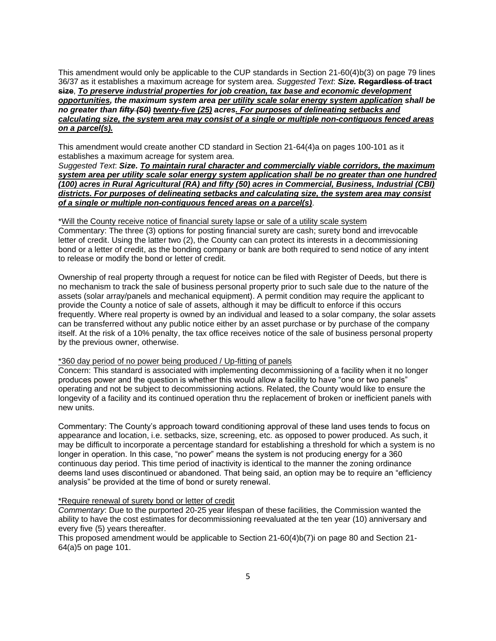This amendment would only be applicable to the CUP standards in Section 21-60(4)b(3) on page 79 lines 36/37 as it establishes a maximum acreage for system area. *Suggested Text*: *Size.* **Regardless of tract size**, *To preserve industrial properties for job creation, tax base and economic development opportunities, the maximum system area per utility scale solar energy system application shall be no greater than fifty (50) twenty-five (25) acres. For purposes of delineating setbacks and calculating size, the system area may consist of a single or multiple non-contiguous fenced areas on a parcel(s).*

This amendment would create another CD standard in Section 21-64(4)a on pages 100-101 as it establishes a maximum acreage for system area.

*Suggested Text*: *Size. To maintain rural character and commercially viable corridors, the maximum system area per utility scale solar energy system application shall be no greater than one hundred (100) acres in Rural Agricultural (RA) and fifty (50) acres in Commercial, Business, Industrial (CBI) districts. For purposes of delineating setbacks and calculating size, the system area may consist of a single or multiple non-contiguous fenced areas on a parcel(s)*.

#### \*Will the County receive notice of financial surety lapse or sale of a utility scale system

Commentary: The three (3) options for posting financial surety are cash; surety bond and irrevocable letter of credit. Using the latter two (2), the County can can protect its interests in a decommissioning bond or a letter of credit, as the bonding company or bank are both required to send notice of any intent to release or modify the bond or letter of credit.

Ownership of real property through a request for notice can be filed with Register of Deeds, but there is no mechanism to track the sale of business personal property prior to such sale due to the nature of the assets (solar array/panels and mechanical equipment). A permit condition may require the applicant to provide the County a notice of sale of assets, although it may be difficult to enforce if this occurs frequently. Where real property is owned by an individual and leased to a solar company, the solar assets can be transferred without any public notice either by an asset purchase or by purchase of the company itself. At the risk of a 10% penalty, the tax office receives notice of the sale of business personal property by the previous owner, otherwise.

#### \*360 day period of no power being produced / Up-fitting of panels

Concern: This standard is associated with implementing decommissioning of a facility when it no longer produces power and the question is whether this would allow a facility to have "one or two panels" operating and not be subject to decommissioning actions. Related, the County would like to ensure the longevity of a facility and its continued operation thru the replacement of broken or inefficient panels with new units.

Commentary: The County's approach toward conditioning approval of these land uses tends to focus on appearance and location, i.e. setbacks, size, screening, etc. as opposed to power produced. As such, it may be difficult to incorporate a percentage standard for establishing a threshold for which a system is no longer in operation. In this case, "no power" means the system is not producing energy for a 360 continuous day period. This time period of inactivity is identical to the manner the zoning ordinance deems land uses discontinued or abandoned. That being said, an option may be to require an "efficiency analysis" be provided at the time of bond or surety renewal.

#### \*Require renewal of surety bond or letter of credit

*Commentary*: Due to the purported 20-25 year lifespan of these facilities, the Commission wanted the ability to have the cost estimates for decommissioning reevaluated at the ten year (10) anniversary and every five (5) years thereafter.

This proposed amendment would be applicable to Section 21-60(4)b(7)i on page 80 and Section 21- 64(a)5 on page 101.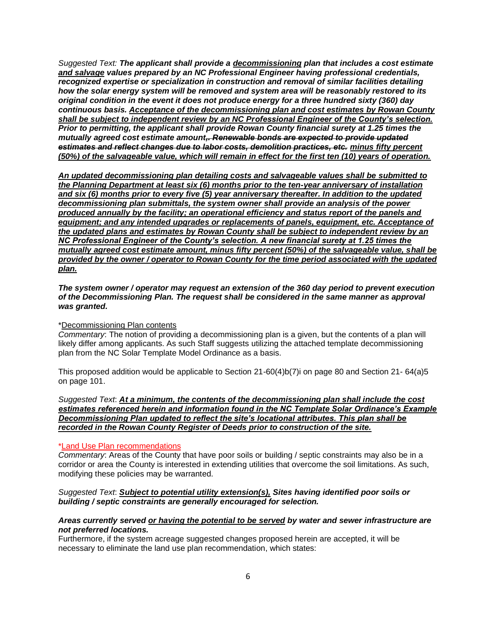*Suggested Text: The applicant shall provide a decommissioning plan that includes a cost estimate and salvage values prepared by an NC Professional Engineer having professional credentials, recognized expertise or specialization in construction and removal of similar facilities detailing how the solar energy system will be removed and system area will be reasonably restored to its original condition in the event it does not produce energy for a three hundred sixty (360) day continuous basis. Acceptance of the decommissioning plan and cost estimates by Rowan County shall be subject to independent review by an NC Professional Engineer of the County's selection. Prior to permitting, the applicant shall provide Rowan County financial surety at 1.25 times the mutually agreed cost estimate amount,. Renewable bonds are expected to provide updated estimates and reflect changes due to labor costs, demolition practices, etc. minus fifty percent (50%) of the salvageable value, which will remain in effect for the first ten (10) years of operation.*

*An updated decommissioning plan detailing costs and salvageable values shall be submitted to the Planning Department at least six (6) months prior to the ten-year anniversary of installation and six (6) months prior to every five (5) year anniversary thereafter. In addition to the updated decommissioning plan submittals, the system owner shall provide an analysis of the power produced annually by the facility; an operational efficiency and status report of the panels and equipment; and any intended upgrades or replacements of panels, equipment, etc. Acceptance of the updated plans and estimates by Rowan County shall be subject to independent review by an NC Professional Engineer of the County's selection. A new financial surety at 1.25 times the mutually agreed cost estimate amount, minus fifty percent (50%) of the salvageable value, shall be provided by the owner / operator to Rowan County for the time period associated with the updated plan.* 

*The system owner / operator may request an extension of the 360 day period to prevent execution of the Decommissioning Plan. The request shall be considered in the same manner as approval was granted.*

#### \*Decommissioning Plan contents

*Commentary*: The notion of providing a decommissioning plan is a given, but the contents of a plan will likely differ among applicants. As such Staff suggests utilizing the attached template decommissioning plan from the NC Solar Template Model Ordinance as a basis.

This proposed addition would be applicable to Section 21-60(4)b(7)i on page 80 and Section 21- 64(a)5 on page 101.

*Suggested Text*: *At a minimum, the contents of the decommissioning plan shall include the cost estimates referenced herein and information found in the NC Template Solar Ordinance's Example Decommissioning Plan updated to reflect the site's locational attributes. This plan shall be recorded in the Rowan County Register of Deeds prior to construction of the site.*

#### \*Land Use Plan recommendations

*Commentary*: Areas of the County that have poor soils or building / septic constraints may also be in a corridor or area the County is interested in extending utilities that overcome the soil limitations. As such, modifying these policies may be warranted.

#### *Suggested Text*: *Subject to potential utility extension(s), Sites having identified poor soils or building / septic constraints are generally encouraged for selection.*

#### *Areas currently served or having the potential to be served by water and sewer infrastructure are not preferred locations.*

Furthermore, if the system acreage suggested changes proposed herein are accepted, it will be necessary to eliminate the land use plan recommendation, which states: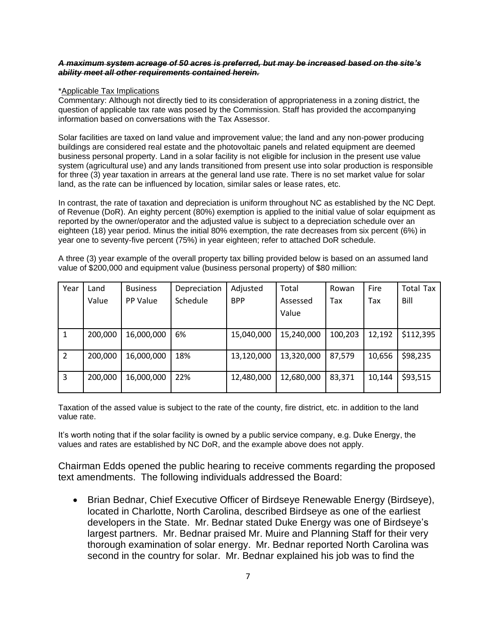#### *A maximum system acreage of 50 acres is preferred, but may be increased based on the site's ability meet all other requirements contained herein.*

#### \*Applicable Tax Implications

Commentary: Although not directly tied to its consideration of appropriateness in a zoning district, the question of applicable tax rate was posed by the Commission. Staff has provided the accompanying information based on conversations with the Tax Assessor.

Solar facilities are taxed on land value and improvement value; the land and any non-power producing buildings are considered real estate and the photovoltaic panels and related equipment are deemed business personal property. Land in a solar facility is not eligible for inclusion in the present use value system (agricultural use) and any lands transitioned from present use into solar production is responsible for three (3) year taxation in arrears at the general land use rate. There is no set market value for solar land, as the rate can be influenced by location, similar sales or lease rates, etc.

In contrast, the rate of taxation and depreciation is uniform throughout NC as established by the NC Dept. of Revenue (DoR). An eighty percent (80%) exemption is applied to the initial value of solar equipment as reported by the owner/operator and the adjusted value is subject to a depreciation schedule over an eighteen (18) year period. Minus the initial 80% exemption, the rate decreases from six percent (6%) in year one to seventy-five percent (75%) in year eighteen; refer to attached DoR schedule.

A three (3) year example of the overall property tax billing provided below is based on an assumed land value of \$200,000 and equipment value (business personal property) of \$80 million:

| Year          | Land    | <b>Business</b> | Depreciation | Adjusted   | Total      | Rowan   | Fire   | <b>Total Tax</b> |
|---------------|---------|-----------------|--------------|------------|------------|---------|--------|------------------|
|               | Value   | PP Value        | Schedule     | <b>BPP</b> | Assessed   | Tax     | Tax    | Bill             |
|               |         |                 |              |            | Value      |         |        |                  |
|               |         |                 |              |            |            |         |        |                  |
|               | 200,000 | 16,000,000      | 6%           | 15,040,000 | 15,240,000 | 100,203 | 12,192 | \$112,395        |
|               |         |                 |              |            |            |         |        |                  |
| $\mathcal{P}$ | 200,000 | 16,000,000      | 18%          | 13,120,000 | 13,320,000 | 87,579  | 10,656 | \$98,235         |
|               |         |                 |              |            |            |         |        |                  |
| 3             | 200,000 | 16,000,000      | 22%          | 12,480,000 | 12,680,000 | 83,371  | 10,144 | \$93,515         |
|               |         |                 |              |            |            |         |        |                  |

Taxation of the assed value is subject to the rate of the county, fire district, etc. in addition to the land value rate.

It's worth noting that if the solar facility is owned by a public service company, e.g. Duke Energy, the values and rates are established by NC DoR, and the example above does not apply.

Chairman Edds opened the public hearing to receive comments regarding the proposed text amendments. The following individuals addressed the Board:

• Brian Bednar, Chief Executive Officer of Birdseye Renewable Energy (Birdseye), located in Charlotte, North Carolina, described Birdseye as one of the earliest developers in the State. Mr. Bednar stated Duke Energy was one of Birdseye's largest partners. Mr. Bednar praised Mr. Muire and Planning Staff for their very thorough examination of solar energy. Mr. Bednar reported North Carolina was second in the country for solar. Mr. Bednar explained his job was to find the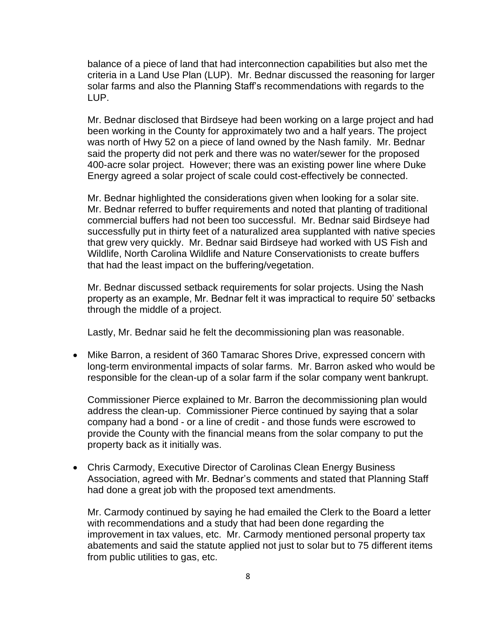balance of a piece of land that had interconnection capabilities but also met the criteria in a Land Use Plan (LUP). Mr. Bednar discussed the reasoning for larger solar farms and also the Planning Staff's recommendations with regards to the LUP.

Mr. Bednar disclosed that Birdseye had been working on a large project and had been working in the County for approximately two and a half years. The project was north of Hwy 52 on a piece of land owned by the Nash family. Mr. Bednar said the property did not perk and there was no water/sewer for the proposed 400-acre solar project. However; there was an existing power line where Duke Energy agreed a solar project of scale could cost-effectively be connected.

Mr. Bednar highlighted the considerations given when looking for a solar site. Mr. Bednar referred to buffer requirements and noted that planting of traditional commercial buffers had not been too successful. Mr. Bednar said Birdseye had successfully put in thirty feet of a naturalized area supplanted with native species that grew very quickly. Mr. Bednar said Birdseye had worked with US Fish and Wildlife, North Carolina Wildlife and Nature Conservationists to create buffers that had the least impact on the buffering/vegetation.

Mr. Bednar discussed setback requirements for solar projects. Using the Nash property as an example, Mr. Bednar felt it was impractical to require 50' setbacks through the middle of a project.

Lastly, Mr. Bednar said he felt the decommissioning plan was reasonable.

• Mike Barron, a resident of 360 Tamarac Shores Drive, expressed concern with long-term environmental impacts of solar farms. Mr. Barron asked who would be responsible for the clean-up of a solar farm if the solar company went bankrupt.

Commissioner Pierce explained to Mr. Barron the decommissioning plan would address the clean-up. Commissioner Pierce continued by saying that a solar company had a bond - or a line of credit - and those funds were escrowed to provide the County with the financial means from the solar company to put the property back as it initially was.

• Chris Carmody, Executive Director of Carolinas Clean Energy Business Association, agreed with Mr. Bednar's comments and stated that Planning Staff had done a great job with the proposed text amendments.

Mr. Carmody continued by saying he had emailed the Clerk to the Board a letter with recommendations and a study that had been done regarding the improvement in tax values, etc. Mr. Carmody mentioned personal property tax abatements and said the statute applied not just to solar but to 75 different items from public utilities to gas, etc.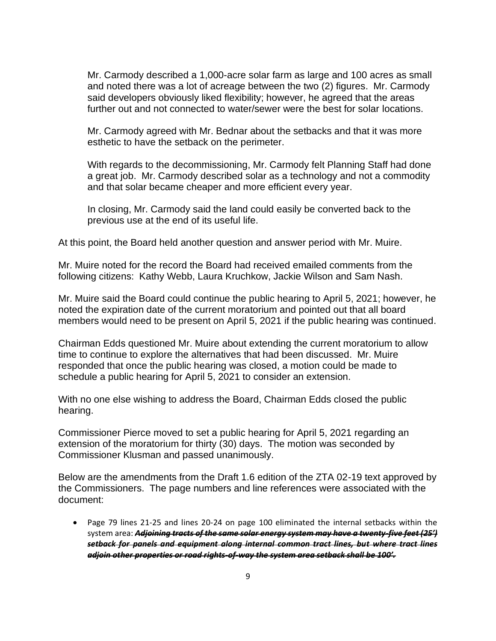Mr. Carmody described a 1,000-acre solar farm as large and 100 acres as small and noted there was a lot of acreage between the two (2) figures. Mr. Carmody said developers obviously liked flexibility; however, he agreed that the areas further out and not connected to water/sewer were the best for solar locations.

Mr. Carmody agreed with Mr. Bednar about the setbacks and that it was more esthetic to have the setback on the perimeter.

With regards to the decommissioning, Mr. Carmody felt Planning Staff had done a great job. Mr. Carmody described solar as a technology and not a commodity and that solar became cheaper and more efficient every year.

In closing, Mr. Carmody said the land could easily be converted back to the previous use at the end of its useful life.

At this point, the Board held another question and answer period with Mr. Muire.

Mr. Muire noted for the record the Board had received emailed comments from the following citizens: Kathy Webb, Laura Kruchkow, Jackie Wilson and Sam Nash.

Mr. Muire said the Board could continue the public hearing to April 5, 2021; however, he noted the expiration date of the current moratorium and pointed out that all board members would need to be present on April 5, 2021 if the public hearing was continued.

Chairman Edds questioned Mr. Muire about extending the current moratorium to allow time to continue to explore the alternatives that had been discussed. Mr. Muire responded that once the public hearing was closed, a motion could be made to schedule a public hearing for April 5, 2021 to consider an extension.

With no one else wishing to address the Board, Chairman Edds closed the public hearing.

Commissioner Pierce moved to set a public hearing for April 5, 2021 regarding an extension of the moratorium for thirty (30) days. The motion was seconded by Commissioner Klusman and passed unanimously.

Below are the amendments from the Draft 1.6 edition of the ZTA 02-19 text approved by the Commissioners. The page numbers and line references were associated with the document:

• Page 79 lines 21-25 and lines 20-24 on page 100 eliminated the internal setbacks within the system area: *Adjoining tracts of the same solar energy system may have a twenty-five feet (25') setback for panels and equipment along internal common tract lines, but where tract lines adjoin other properties or road rights-of-way the system area setback shall be 100'.*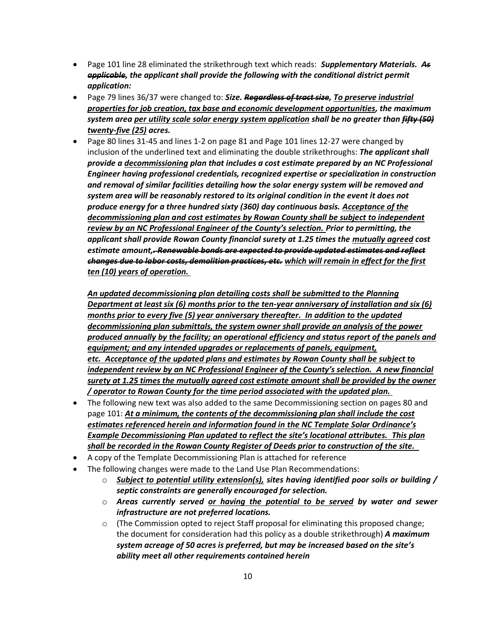- Page 101 line 28 eliminated the strikethrough text which reads: *Supplementary Materials. As applicable, the applicant shall provide the following with the conditional district permit application:*
- Page 79 lines 36/37 were changed to: *Size. Regardless of tract size, To preserve industrial properties for job creation, tax base and economic development opportunities, the maximum system area per utility scale solar energy system application shall be no greater than fifty (50) twenty-five (25) acres.*
- Page 80 lines 31-45 and lines 1-2 on page 81 and Page 101 lines 12-27 were changed by inclusion of the underlined text and eliminating the double strikethroughs: *The applicant shall provide a decommissioning plan that includes a cost estimate prepared by an NC Professional Engineer having professional credentials, recognized expertise or specialization in construction and removal of similar facilities detailing how the solar energy system will be removed and system area will be reasonably restored to its original condition in the event it does not produce energy for a three hundred sixty (360) day continuous basis. Acceptance of the decommissioning plan and cost estimates by Rowan County shall be subject to independent review by an NC Professional Engineer of the County's selection. Prior to permitting, the applicant shall provide Rowan County financial surety at 1.25 times the mutually agreed cost estimate amount,. Renewable bonds are expected to provide updated estimates and reflect changes due to labor costs, demolition practices, etc. which will remain in effect for the first ten (10) years of operation.*

*An updated decommissioning plan detailing costs shall be submitted to the Planning Department at least six (6) months prior to the ten-year anniversary of installation and six (6) months prior to every five (5) year anniversary thereafter. In addition to the updated decommissioning plan submittals, the system owner shall provide an analysis of the power produced annually by the facility; an operational efficiency and status report of the panels and equipment; and any intended upgrades or replacements of panels, equipment, etc. Acceptance of the updated plans and estimates by Rowan County shall be subject to independent review by an NC Professional Engineer of the County's selection. A new financial surety at 1.25 times the mutually agreed cost estimate amount shall be provided by the owner / operator to Rowan County for the time period associated with the updated plan.*

- The following new text was also added to the same Decommissioning section on pages 80 and page 101: *At a minimum, the contents of the decommissioning plan shall include the cost estimates referenced herein and information found in the NC Template Solar Ordinance's*  **Example Decommissioning Plan updated to reflect the site's locational attributes. This plan** *shall be recorded in the Rowan County Register of Deeds prior to construction of the site.*
- A copy of the Template Decommissioning Plan is attached for reference
- The following changes were made to the Land Use Plan Recommendations:
	- o *Subject to potential utility extension(s), sites having identified poor soils or building / septic constraints are generally encouraged for selection.*
	- o *Areas currently served or having the potential to be served by water and sewer infrastructure are not preferred locations.*
	- $\circ$  (The Commission opted to reject Staff proposal for eliminating this proposed change; the document for consideration had this policy as a double strikethrough) *A maximum system acreage of 50 acres is preferred, but may be increased based on the site's ability meet all other requirements contained herein*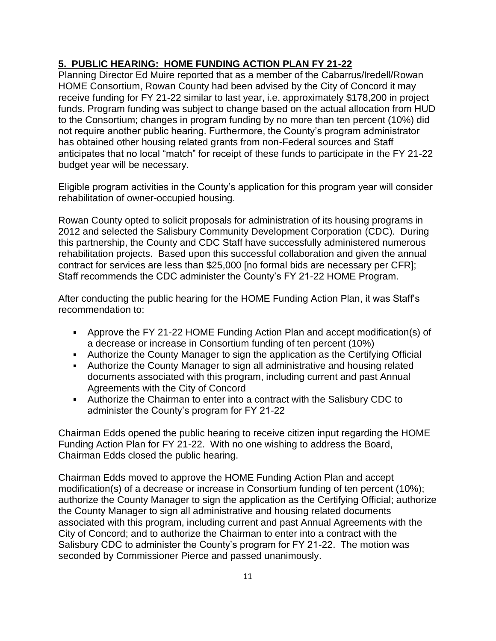# **5. PUBLIC HEARING: HOME FUNDING ACTION PLAN FY 21-22**

Planning Director Ed Muire reported that as a member of the Cabarrus/Iredell/Rowan HOME Consortium, Rowan County had been advised by the City of Concord it may receive funding for FY 21-22 similar to last year, i.e. approximately \$178,200 in project funds. Program funding was subject to change based on the actual allocation from HUD to the Consortium; changes in program funding by no more than ten percent (10%) did not require another public hearing. Furthermore, the County's program administrator has obtained other housing related grants from non-Federal sources and Staff anticipates that no local "match" for receipt of these funds to participate in the FY 21-22 budget year will be necessary.

Eligible program activities in the County's application for this program year will consider rehabilitation of owner-occupied housing.

Rowan County opted to solicit proposals for administration of its housing programs in 2012 and selected the Salisbury Community Development Corporation (CDC). During this partnership, the County and CDC Staff have successfully administered numerous rehabilitation projects. Based upon this successful collaboration and given the annual contract for services are less than \$25,000 [no formal bids are necessary per CFR]; Staff recommends the CDC administer the County's FY 21-22 HOME Program.

After conducting the public hearing for the HOME Funding Action Plan, it was Staff's recommendation to:

- Approve the FY 21-22 HOME Funding Action Plan and accept modification(s) of a decrease or increase in Consortium funding of ten percent (10%)
- Authorize the County Manager to sign the application as the Certifying Official
- Authorize the County Manager to sign all administrative and housing related documents associated with this program, including current and past Annual Agreements with the City of Concord
- Authorize the Chairman to enter into a contract with the Salisbury CDC to administer the County's program for FY 21-22

Chairman Edds opened the public hearing to receive citizen input regarding the HOME Funding Action Plan for FY 21-22. With no one wishing to address the Board, Chairman Edds closed the public hearing.

Chairman Edds moved to approve the HOME Funding Action Plan and accept modification(s) of a decrease or increase in Consortium funding of ten percent (10%); authorize the County Manager to sign the application as the Certifying Official; authorize the County Manager to sign all administrative and housing related documents associated with this program, including current and past Annual Agreements with the City of Concord; and to authorize the Chairman to enter into a contract with the Salisbury CDC to administer the County's program for FY 21-22. The motion was seconded by Commissioner Pierce and passed unanimously.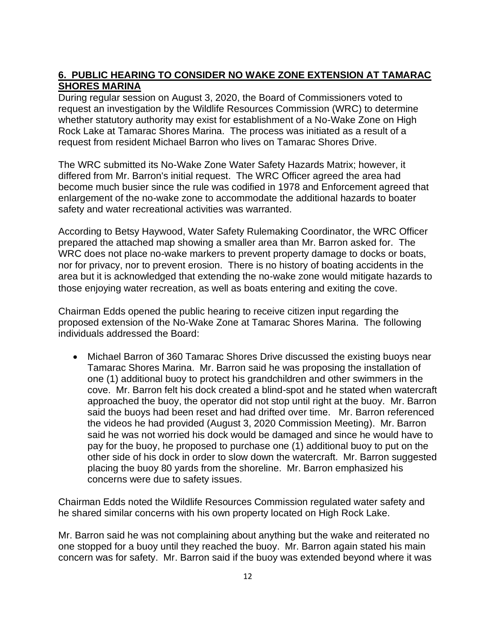### **6. PUBLIC HEARING TO CONSIDER NO WAKE ZONE EXTENSION AT TAMARAC SHORES MARINA**

During regular session on August 3, 2020, the Board of Commissioners voted to request an investigation by the Wildlife Resources Commission (WRC) to determine whether statutory authority may exist for establishment of a No-Wake Zone on High Rock Lake at Tamarac Shores Marina. The process was initiated as a result of a request from resident Michael Barron who lives on Tamarac Shores Drive.

The WRC submitted its No-Wake Zone Water Safety Hazards Matrix; however, it differed from Mr. Barron's initial request. The WRC Officer agreed the area had become much busier since the rule was codified in 1978 and Enforcement agreed that enlargement of the no-wake zone to accommodate the additional hazards to boater safety and water recreational activities was warranted.

According to Betsy Haywood, Water Safety Rulemaking Coordinator, the WRC Officer prepared the attached map showing a smaller area than Mr. Barron asked for. The WRC does not place no-wake markers to prevent property damage to docks or boats, nor for privacy, nor to prevent erosion. There is no history of boating accidents in the area but it is acknowledged that extending the no-wake zone would mitigate hazards to those enjoying water recreation, as well as boats entering and exiting the cove.

Chairman Edds opened the public hearing to receive citizen input regarding the proposed extension of the No-Wake Zone at Tamarac Shores Marina. The following individuals addressed the Board:

• Michael Barron of 360 Tamarac Shores Drive discussed the existing buoys near Tamarac Shores Marina. Mr. Barron said he was proposing the installation of one (1) additional buoy to protect his grandchildren and other swimmers in the cove. Mr. Barron felt his dock created a blind-spot and he stated when watercraft approached the buoy, the operator did not stop until right at the buoy. Mr. Barron said the buoys had been reset and had drifted over time. Mr. Barron referenced the videos he had provided (August 3, 2020 Commission Meeting). Mr. Barron said he was not worried his dock would be damaged and since he would have to pay for the buoy, he proposed to purchase one (1) additional buoy to put on the other side of his dock in order to slow down the watercraft. Mr. Barron suggested placing the buoy 80 yards from the shoreline. Mr. Barron emphasized his concerns were due to safety issues.

Chairman Edds noted the Wildlife Resources Commission regulated water safety and he shared similar concerns with his own property located on High Rock Lake.

Mr. Barron said he was not complaining about anything but the wake and reiterated no one stopped for a buoy until they reached the buoy. Mr. Barron again stated his main concern was for safety. Mr. Barron said if the buoy was extended beyond where it was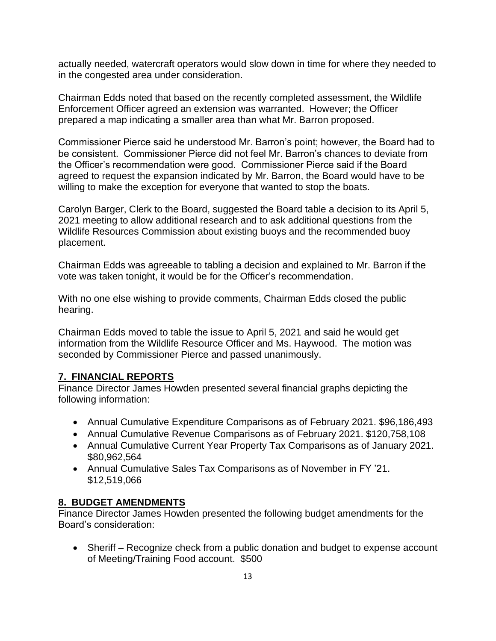actually needed, watercraft operators would slow down in time for where they needed to in the congested area under consideration.

Chairman Edds noted that based on the recently completed assessment, the Wildlife Enforcement Officer agreed an extension was warranted. However; the Officer prepared a map indicating a smaller area than what Mr. Barron proposed.

Commissioner Pierce said he understood Mr. Barron's point; however, the Board had to be consistent. Commissioner Pierce did not feel Mr. Barron's chances to deviate from the Officer's recommendation were good. Commissioner Pierce said if the Board agreed to request the expansion indicated by Mr. Barron, the Board would have to be willing to make the exception for everyone that wanted to stop the boats.

Carolyn Barger, Clerk to the Board, suggested the Board table a decision to its April 5, 2021 meeting to allow additional research and to ask additional questions from the Wildlife Resources Commission about existing buoys and the recommended buoy placement.

Chairman Edds was agreeable to tabling a decision and explained to Mr. Barron if the vote was taken tonight, it would be for the Officer's recommendation.

With no one else wishing to provide comments, Chairman Edds closed the public hearing.

Chairman Edds moved to table the issue to April 5, 2021 and said he would get information from the Wildlife Resource Officer and Ms. Haywood. The motion was seconded by Commissioner Pierce and passed unanimously.

# **7. FINANCIAL REPORTS**

Finance Director James Howden presented several financial graphs depicting the following information:

- Annual Cumulative Expenditure Comparisons as of February 2021. \$96,186,493
- Annual Cumulative Revenue Comparisons as of February 2021. \$120,758,108
- Annual Cumulative Current Year Property Tax Comparisons as of January 2021. \$80,962,564
- Annual Cumulative Sales Tax Comparisons as of November in FY '21. \$12,519,066

### **8. BUDGET AMENDMENTS**

Finance Director James Howden presented the following budget amendments for the Board's consideration:

• Sheriff – Recognize check from a public donation and budget to expense account of Meeting/Training Food account. \$500